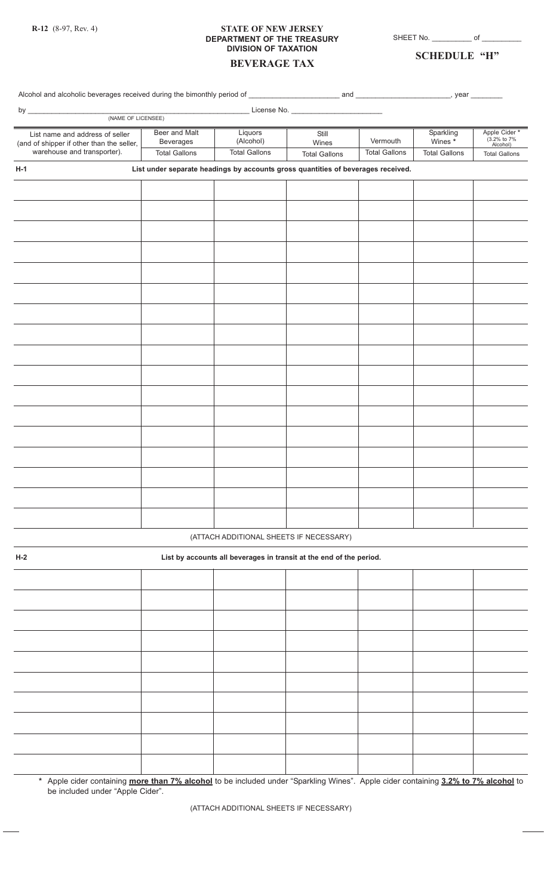### **STATE OF NEW JERSEY DEPARTMENT OF THE TREASURY DIVISION OF TAXATION BEVERAGE TAX**

SHEET No. \_\_\_\_\_\_\_\_\_\_\_\_ of \_

## **SCHEDULE "H"**

# **H-1 List under separate headings by accounts gross quantities of beverages received. H-2 List by accounts all beverages in transit at the end of the period.** (ATTACH ADDITIONAL SHEETS IF NECESSARY) Alcohol and alcoholic beverages received during the bimonthly period of \_\_\_\_\_\_\_\_\_\_\_\_\_\_\_\_\_\_\_\_\_\_\_ and \_\_\_\_\_\_\_\_\_\_\_\_\_\_\_\_\_\_\_\_\_\_\_\_, year \_\_\_\_\_\_\_\_ by \_\_\_\_\_\_\_\_\_\_\_\_\_\_\_\_\_\_\_\_\_\_\_\_\_\_\_\_\_\_\_\_\_\_\_\_\_\_\_\_\_\_\_\_\_\_\_\_\_\_\_\_\_\_\_\_ License No. \_\_\_\_\_\_\_\_\_\_\_\_\_\_\_\_\_\_\_\_\_\_\_ (NAME OF LICENSEE) Apple Cider **\*** (3.2% to 7% Alcohol) Total Gallons Sparkling Wines **\*** Total Gallons Vermouth Total Gallons **Still** Wines Total Gallons **Liquors** (Alcohol) Total Gallons Beer and Malt Beverages Total Gallons List name and address of seller (and of shipper if other than the seller, warehouse and transporter).

**\*** Apple cider containing **more than 7% alcohol** to be included under "Sparkling Wines". Apple cider containing **3.2% to 7% alcohol** to be included under "Apple Cider".

(ATTACH ADDITIONAL SHEETS IF NECESSARY)